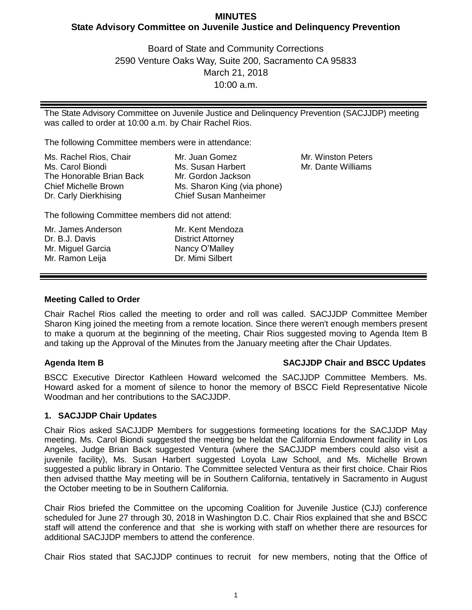# **MINUTES State Advisory Committee on Juvenile Justice and Delinquency Prevention**

Board of State and Community Corrections 2590 Venture Oaks Way, Suite 200, Sacramento CA 95833 March 21, 2018 10:00 a.m.

The State Advisory Committee on Juvenile Justice and Delinquency Prevention (SACJJDP) meeting was called to order at 10:00 a.m. by Chair Rachel Rios.

The following Committee members were in attendance:

| Ms. Rachel Rios, Chair      | Mr. Juan Gomez               |
|-----------------------------|------------------------------|
| Ms. Carol Biondi            | Ms. Susan Harbert            |
| The Honorable Brian Back    | Mr. Gordon Jackson           |
| <b>Chief Michelle Brown</b> | Ms. Sharon King (via phone)  |
| Dr. Carly Dierkhising       | <b>Chief Susan Manheimer</b> |

Mr. Winston Peters Mr. Dante Williams

The following Committee members did not attend:

| Mr. James Anderson | Mr. Kent Mendoza         |
|--------------------|--------------------------|
| Dr. B.J. Davis     | <b>District Attorney</b> |
| Mr. Miguel Garcia  | Nancy O'Malley           |
| Mr. Ramon Leija    | Dr. Mimi Silbert         |

# **Meeting Called to Order**

Chair Rachel Rios called the meeting to order and roll was called. SACJJDP Committee Member Sharon King joined the meeting from a remote location. Since there weren't enough members present to make a quorum at the beginning of the meeting, Chair Rios suggested moving to Agenda Item B and taking up the Approval of the Minutes from the January meeting after the Chair Updates.

# **Agenda Item B SACJJDP Chair and BSCC Updates**

BSCC Executive Director Kathleen Howard welcomed the SACJJDP Committee Members. Ms. Howard asked for a moment of silence to honor the memory of BSCC Field Representative Nicole Woodman and her contributions to the SACJJDP.

# **1. SACJJDP Chair Updates**

Chair Rios asked SACJJDP Members for suggestions formeeting locations for the SACJJDP May meeting. Ms. Carol Biondi suggested the meeting be heldat the California Endowment facility in Los Angeles, Judge Brian Back suggested Ventura (where the SACJJDP members could also visit a juvenile facility), Ms. Susan Harbert suggested Loyola Law School, and Ms. Michelle Brown suggested a public library in Ontario. The Committee selected Ventura as their first choice. Chair Rios then advised thatthe May meeting will be in Southern California, tentatively in Sacramento in August the October meeting to be in Southern California.

Chair Rios briefed the Committee on the upcoming Coalition for Juvenile Justice (CJJ) conference scheduled for June 27 through 30, 2018 in Washington D.C. Chair Rios explained that she and BSCC staff will attend the conference and that she is working with staff on whether there are resources for additional SACJJDP members to attend the conference.

Chair Rios stated that SACJJDP continues to recruit for new members, noting that the Office of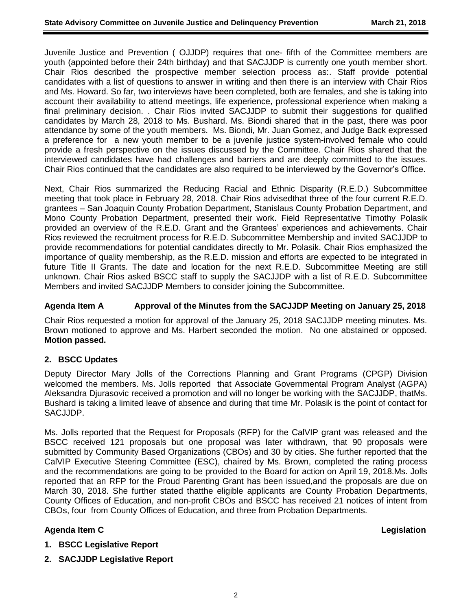Juvenile Justice and Prevention ( OJJDP) requires that one- fifth of the Committee members are youth (appointed before their 24th birthday) and that SACJJDP is currently one youth member short. Chair Rios described the prospective member selection process as:. Staff provide potential candidates with a list of questions to answer in writing and then there is an interview with Chair Rios and Ms. Howard. So far, two interviews have been completed, both are females, and she is taking into account their availability to attend meetings, life experience, professional experience when making a final preliminary decision. . Chair Rios invited SACJJDP to submit their suggestions for qualified candidates by March 28, 2018 to Ms. Bushard. Ms. Biondi shared that in the past, there was poor attendance by some of the youth members. Ms. Biondi, Mr. Juan Gomez, and Judge Back expressed a preference for a new youth member to be a juvenile justice system-involved female who could provide a fresh perspective on the issues discussed by the Committee. Chair Rios shared that the interviewed candidates have had challenges and barriers and are deeply committed to the issues. Chair Rios continued that the candidates are also required to be interviewed by the Governor's Office.

Next, Chair Rios summarized the Reducing Racial and Ethnic Disparity (R.E.D.) Subcommittee meeting that took place in February 28, 2018. Chair Rios advisedthat three of the four current R.E.D. grantees – San Joaquin County Probation Department, Stanislaus County Probation Department, and Mono County Probation Department, presented their work. Field Representative Timothy Polasik provided an overview of the R.E.D. Grant and the Grantees' experiences and achievements. Chair Rios reviewed the recruitment process for R.E.D. Subcommittee Membership and invited SACJJDP to provide recommendations for potential candidates directly to Mr. Polasik. Chair Rios emphasized the importance of quality membership, as the R.E.D. mission and efforts are expected to be integrated in future Title II Grants. The date and location for the next R.E.D. Subcommittee Meeting are still unknown. Chair Rios asked BSCC staff to supply the SACJJDP with a list of R.E.D. Subcommittee Members and invited SACJJDP Members to consider joining the Subcommittee.

# **Agenda Item A Approval of the Minutes from the SACJJDP Meeting on January 25, 2018**

Chair Rios requested a motion for approval of the January 25, 2018 SACJJDP meeting minutes. Ms. Brown motioned to approve and Ms. Harbert seconded the motion. No one abstained or opposed. **Motion passed.**

# **2. BSCC Updates**

Deputy Director Mary Jolls of the Corrections Planning and Grant Programs (CPGP) Division welcomed the members. Ms. Jolls reported that Associate Governmental Program Analyst (AGPA) Aleksandra Djurasovic received a promotion and will no longer be working with the SACJJDP, thatMs. Bushard is taking a limited leave of absence and during that time Mr. Polasik is the point of contact for SACJJDP.

Ms. Jolls reported that the Request for Proposals (RFP) for the CalVIP grant was released and the BSCC received 121 proposals but one proposal was later withdrawn, that 90 proposals were submitted by Community Based Organizations (CBOs) and 30 by cities. She further reported that the CalVIP Executive Steering Committee (ESC), chaired by Ms. Brown, completed the rating process and the recommendations are going to be provided to the Board for action on April 19, 2018.Ms. Jolls reported that an RFP for the Proud Parenting Grant has been issued,and the proposals are due on March 30, 2018. She further stated thatthe eligible applicants are County Probation Departments, County Offices of Education, and non-profit CBOs and BSCC has received 21 notices of intent from CBOs, four from County Offices of Education, and three from Probation Departments.

# **Agenda Item C Legislation**

- **1. BSCC Legislative Report**
- **2. SACJJDP Legislative Report**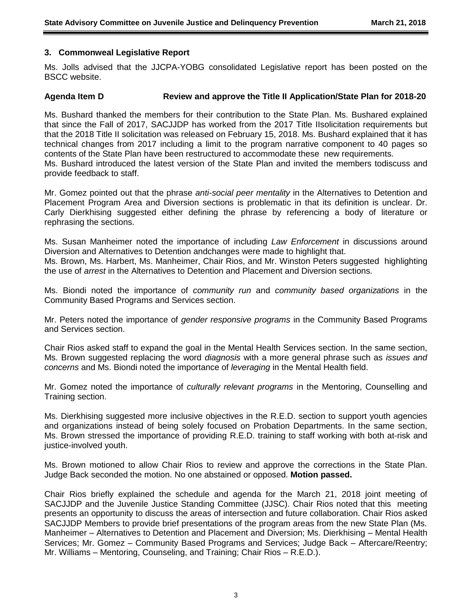### **3. Commonweal Legislative Report**

Ms. Jolls advised that the JJCPA-YOBG consolidated Legislative report has been posted on the BSCC website.

### **Agenda Item D Review and approve the Title II Application/State Plan for 2018-20**

Ms. Bushard thanked the members for their contribution to the State Plan. Ms. Bushared explained that since the Fall of 2017, SACJJDP has worked from the 2017 Title IIsolicitation requirements but that the 2018 Title II solicitation was released on February 15, 2018. Ms. Bushard explained that it has technical changes from 2017 including a limit to the program narrative component to 40 pages so contents of the State Plan have been restructured to accommodate these new requirements. Ms. Bushard introduced the latest version of the State Plan and invited the members todiscuss and provide feedback to staff.

Mr. Gomez pointed out that the phrase *anti-social peer mentality* in the Alternatives to Detention and Placement Program Area and Diversion sections is problematic in that its definition is unclear. Dr. Carly Dierkhising suggested either defining the phrase by referencing a body of literature or rephrasing the sections.

Ms. Susan Manheimer noted the importance of including *Law Enforcement* in discussions around Diversion and Alternatives to Detention andchanges were made to highlight that.

Ms. Brown, Ms. Harbert, Ms. Manheimer, Chair Rios, and Mr. Winston Peters suggested highlighting the use of *arrest* in the Alternatives to Detention and Placement and Diversion sections.

Ms. Biondi noted the importance of *community run* and *community based organizations* in the Community Based Programs and Services section.

Mr. Peters noted the importance of *gender responsive programs* in the Community Based Programs and Services section.

Chair Rios asked staff to expand the goal in the Mental Health Services section. In the same section, Ms. Brown suggested replacing the word *diagnosis* with a more general phrase such as *issues and concerns* and Ms. Biondi noted the importance of *leveraging* in the Mental Health field.

Mr. Gomez noted the importance of *culturally relevant programs* in the Mentoring, Counselling and Training section.

Ms. Dierkhising suggested more inclusive objectives in the R.E.D. section to support youth agencies and organizations instead of being solely focused on Probation Departments. In the same section, Ms. Brown stressed the importance of providing R.E.D. training to staff working with both at-risk and justice-involved youth.

Ms. Brown motioned to allow Chair Rios to review and approve the corrections in the State Plan. Judge Back seconded the motion. No one abstained or opposed. **Motion passed.**

Chair Rios briefly explained the schedule and agenda for the March 21, 2018 joint meeting of SACJJDP and the Juvenile Justice Standing Committee (JJSC). Chair Rios noted that this meeting presents an opportunity to discuss the areas of intersection and future collaboration. Chair Rios asked SACJJDP Members to provide brief presentations of the program areas from the new State Plan (Ms. Manheimer – Alternatives to Detention and Placement and Diversion; Ms. Dierkhising – Mental Health Services; Mr. Gomez – Community Based Programs and Services; Judge Back – Aftercare/Reentry; Mr. Williams – Mentoring, Counseling, and Training; Chair Rios – R.E.D.).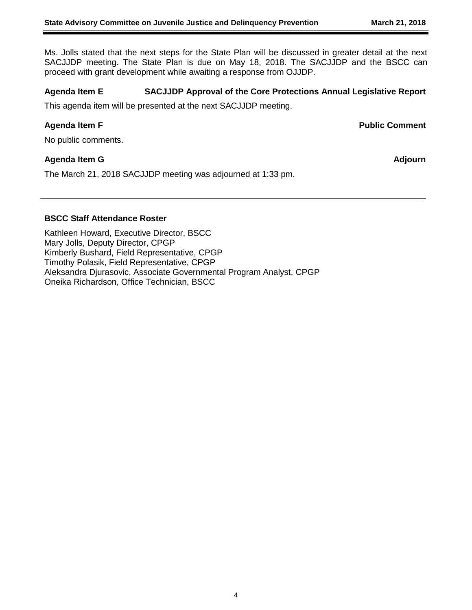Ms. Jolls stated that the next steps for the State Plan will be discussed in greater detail at the next SACJJDP meeting. The State Plan is due on May 18, 2018. The SACJJDP and the BSCC can proceed with grant development while awaiting a response from OJJDP.

# **Agenda Item E SACJJDP Approval of the Core Protections Annual Legislative Report**

This agenda item will be presented at the next SACJJDP meeting.

**Agenda Item F Public Comment**

No public comments.

# **Agenda Item G Adjourn**

The March 21, 2018 SACJJDP meeting was adjourned at 1:33 pm.

### **BSCC Staff Attendance Roster**

Kathleen Howard, Executive Director, BSCC Mary Jolls, Deputy Director, CPGP Kimberly Bushard, Field Representative, CPGP Timothy Polasik, Field Representative, CPGP Aleksandra Djurasovic, Associate Governmental Program Analyst, CPGP Oneika Richardson, Office Technician, BSCC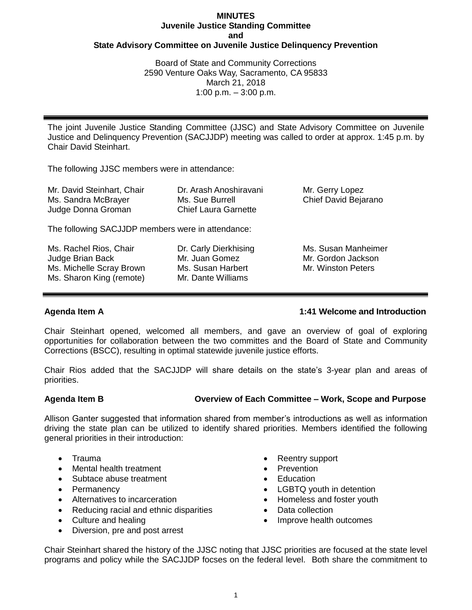# **MINUTES Juvenile Justice Standing Committee and State Advisory Committee on Juvenile Justice Delinquency Prevention**

Board of State and Community Corrections 2590 Venture Oaks Way, Sacramento, CA 95833 March 21, 2018 1:00 p.m.  $-3:00$  p.m.

The joint Juvenile Justice Standing Committee (JJSC) and State Advisory Committee on Juvenile Justice and Delinquency Prevention (SACJJDP) meeting was called to order at approx. 1:45 p.m. by Chair David Steinhart.

The following JJSC members were in attendance:

| Mr. David Steinhart, Chair<br>Ms. Sandra McBrayer<br>Judge Donna Groman | Dr. Arash Anoshiravani<br>Ms. Sue Burrell<br><b>Chief Laura Garnette</b> | Mr. Gerry Lopez<br>Chief David Bejarano |
|-------------------------------------------------------------------------|--------------------------------------------------------------------------|-----------------------------------------|
|                                                                         |                                                                          |                                         |

The following SACJJDP members were in attendance:

Ms. Rachel Rios, Chair Judge Brian Back Ms. Michelle Scray Brown Ms. Sharon King (remote)

Dr. Carly Dierkhising Mr. Juan Gomez Ms. Susan Harbert Mr. Dante Williams

Ms. Susan Manheimer Mr. Gordon Jackson Mr. Winston Peters

# **Agenda Item A 1:41 Welcome and Introduction**

Chair Steinhart opened, welcomed all members, and gave an overview of goal of exploring opportunities for collaboration between the two committes and the Board of State and Community Corrections (BSCC), resulting in optimal statewide juvenile justice efforts.

Chair Rios added that the SACJJDP will share details on the state's 3-year plan and areas of priorities.

### **Agenda Item B Overview of Each Committee – Work, Scope and Purpose**

Allison Ganter suggested that information shared from member's introductions as well as information driving the state plan can be utilized to identify shared priorities. Members identified the following general priorities in their introduction:

- Trauma
- Mental health treatment
- Subtace abuse treatment
- Permanency
- Alternatives to incarceration
- Reducing racial and ethnic disparities
- Culture and healing
- Diversion, pre and post arrest
- Reentry support
- Prevention
- **Education**
- LGBTQ youth in detention
- Homeless and foster youth
- Data collection
- Improve health outcomes

Chair Steinhart shared the history of the JJSC noting that JJSC priorities are focused at the state level programs and policy while the SACJJDP focses on the federal level. Both share the commitment to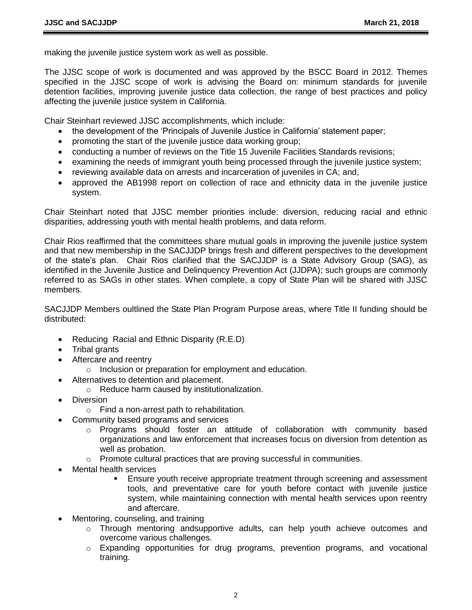making the juvenile justice system work as well as possible.

The JJSC scope of work is documented and was approved by the BSCC Board in 2012. Themes specified in the JJSC scope of work is advising the Board on: minimum standards for juvenile detention facilities, improving juvenile justice data collection, the range of best practices and policy affecting the juvenile justice system in California.

Chair Steinhart reviewed JJSC accomplishments, which include:

- the development of the 'Principals of Juvenile Justice in California' statement paper;
- promoting the start of the juvenile justice data working group;
- conducting a number of reviews on the Title 15 Juvenile Facilities Standards revisions;
- examining the needs of immigrant youth being processed through the juvenile justice system;
- reviewing available data on arrests and incarceration of juveniles in CA; and,
- approved the AB1998 report on collection of race and ethnicity data in the juvenile justice system.

Chair Steinhart noted that JJSC member priorities include: diversion, reducing racial and ethnic disparities, addressing youth with mental health problems, and data reform.

Chair Rios reaffirmed that the committees share mutual goals in improving the juvenile justice system and that new membership in the SACJJDP brings fresh and different perspectives to the development of the state's plan. Chair Rios clarified that the SACJJDP is a State Advisory Group (SAG), as identified in the Juvenile Justice and Delinquency Prevention Act (JJDPA); such groups are commonly referred to as SAGs in other states. When complete, a copy of State Plan will be shared with JJSC members.

SACJJDP Members oultlined the State Plan Program Purpose areas, where Title II funding should be distributed:

- Reducing Racial and Ethnic Disparity (R.E.D)
- Tribal grants
- Aftercare and reentry
	- o Inclusion or preparation for employment and education.
- Alternatives to detention and placement.
	- o Reduce harm caused by institutionalization.
- Diversion
	- o Find a non-arrest path to rehabilitation.
- Community based programs and services
	- o Programs should foster an attitude of collaboration with community based organizations and law enforcement that increases focus on diversion from detention as well as probation.
	- o Promote cultural practices that are proving successful in communities.
- Mental health services
	- Ensure youth receive appropriate treatment through screening and assessment tools, and preventative care for youth before contact with juvenile justice system, while maintaining connection with mental health services upon reentry and aftercare.
- Mentoring, counseling, and training
	- $\circ$  Through mentoring andsupportive adults, can help youth achieve outcomes and overcome various challenges.
	- $\circ$  Expanding opportunities for drug programs, prevention programs, and vocational training.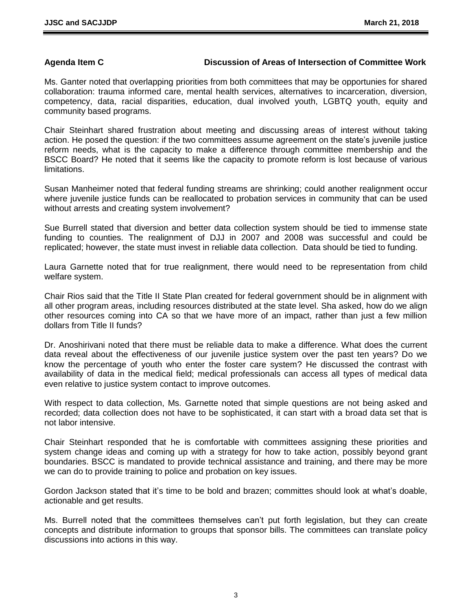### **Agenda Item C Discussion of Areas of Intersection of Committee Work**

Ms. Ganter noted that overlapping priorities from both committees that may be opportunies for shared collaboration: trauma informed care, mental health services, alternatives to incarceration, diversion, competency, data, racial disparities, education, dual involved youth, LGBTQ youth, equity and community based programs.

Chair Steinhart shared frustration about meeting and discussing areas of interest without taking action. He posed the question: if the two committees assume agreement on the state's juvenile justice reform needs, what is the capacity to make a difference through committee membership and the BSCC Board? He noted that it seems like the capacity to promote reform is lost because of various limitations.

Susan Manheimer noted that federal funding streams are shrinking; could another realignment occur where juvenile justice funds can be reallocated to probation services in community that can be used without arrests and creating system involvement?

Sue Burrell stated that diversion and better data collection system should be tied to immense state funding to counties. The realignment of DJJ in 2007 and 2008 was successful and could be replicated; however, the state must invest in reliable data collection. Data should be tied to funding.

Laura Garnette noted that for true realignment, there would need to be representation from child welfare system.

Chair Rios said that the Title II State Plan created for federal government should be in alignment with all other program areas, including resources distributed at the state level. Sha asked, how do we align other resources coming into CA so that we have more of an impact, rather than just a few million dollars from Title II funds?

Dr. Anoshirivani noted that there must be reliable data to make a difference. What does the current data reveal about the effectiveness of our juvenile justice system over the past ten years? Do we know the percentage of youth who enter the foster care system? He discussed the contrast with availability of data in the medical field; medical professionals can access all types of medical data even relative to justice system contact to improve outcomes.

With respect to data collection, Ms. Garnette noted that simple questions are not being asked and recorded; data collection does not have to be sophisticated, it can start with a broad data set that is not labor intensive.

Chair Steinhart responded that he is comfortable with committees assigning these priorities and system change ideas and coming up with a strategy for how to take action, possibly beyond grant boundaries. BSCC is mandated to provide technical assistance and training, and there may be more we can do to provide training to police and probation on key issues.

Gordon Jackson stated that it's time to be bold and brazen; committes should look at what's doable, actionable and get results.

Ms. Burrell noted that the committees themselves can't put forth legislation, but they can create concepts and distribute information to groups that sponsor bills. The committees can translate policy discussions into actions in this way.